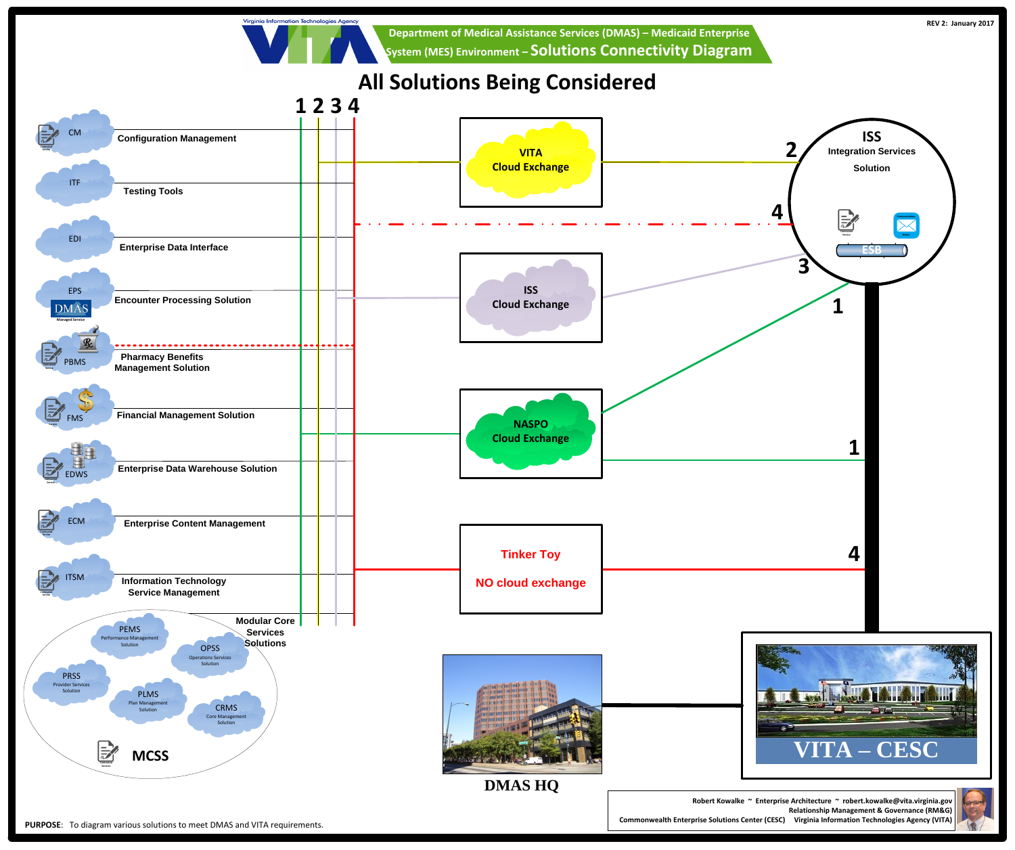**Relationship Management & Governance (RM&G) Commonwealth Enterprise Solutions Center (CESC) Virginia Information Technologies Agency (VITA)**







Virginia Information Technologies Agency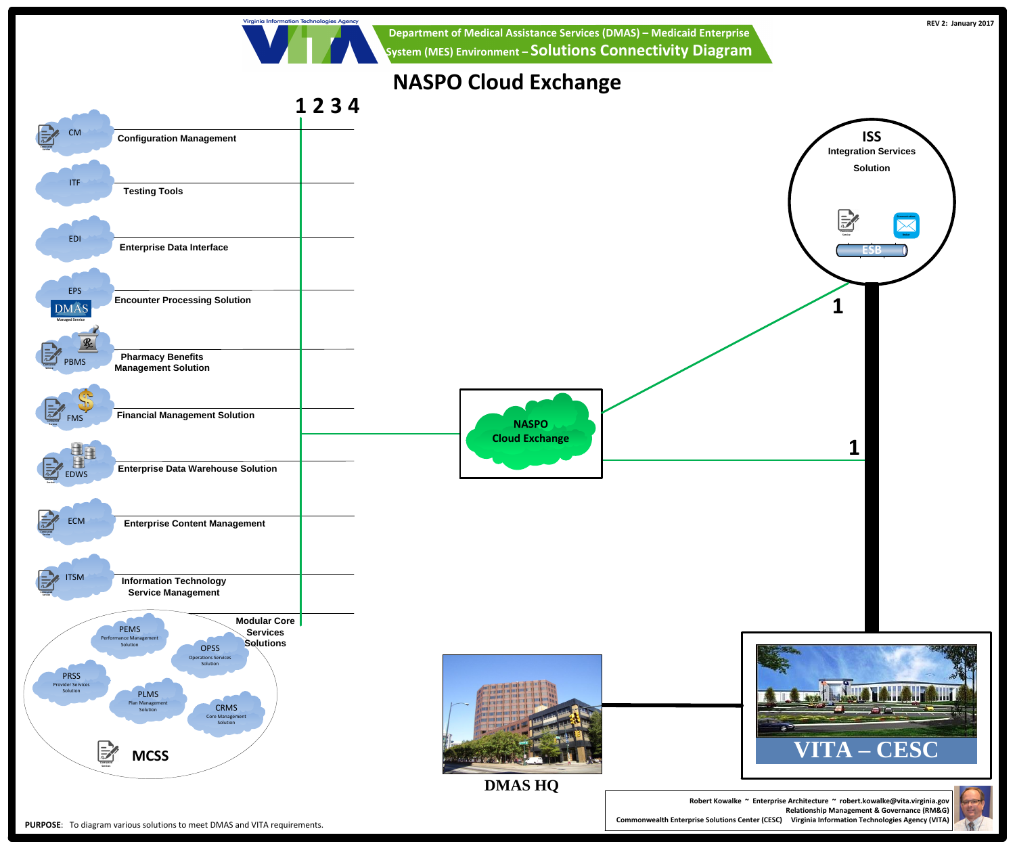





Virginia Information Technologies Agency

# **NASPO Cloud Exchange**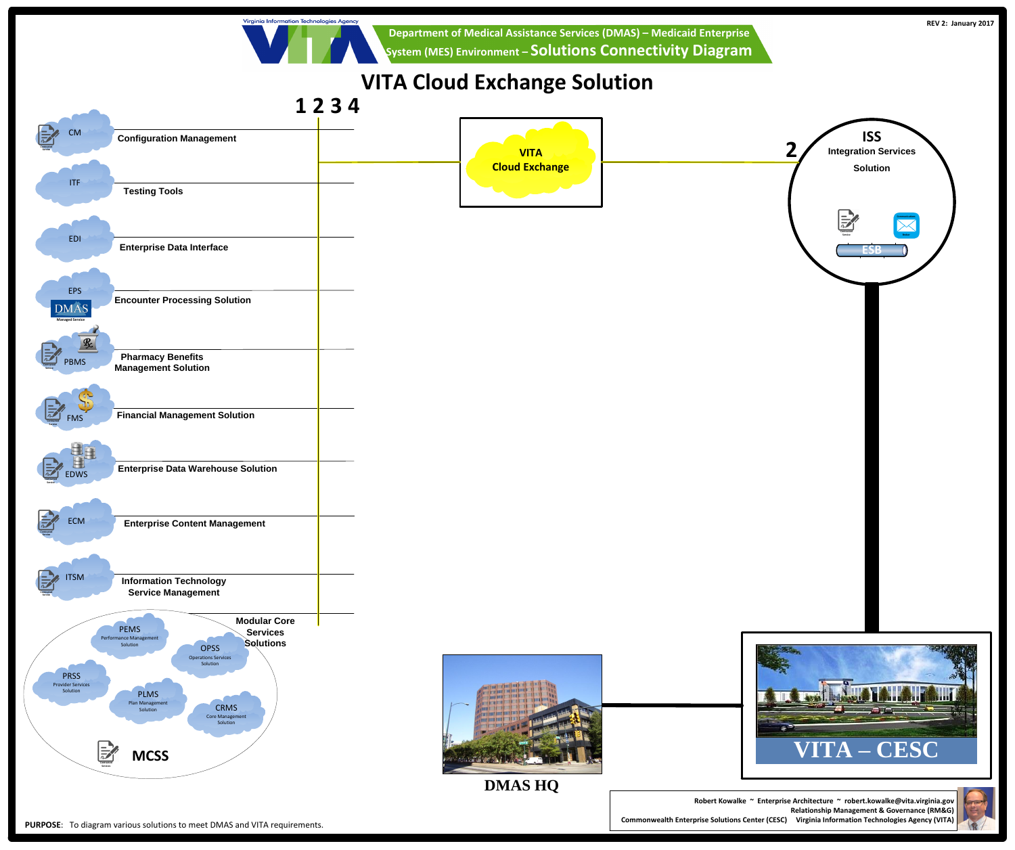



### **1 2 3 4**

Virginia Information Technologies Agency

## **VITA Cloud Exchange Solution**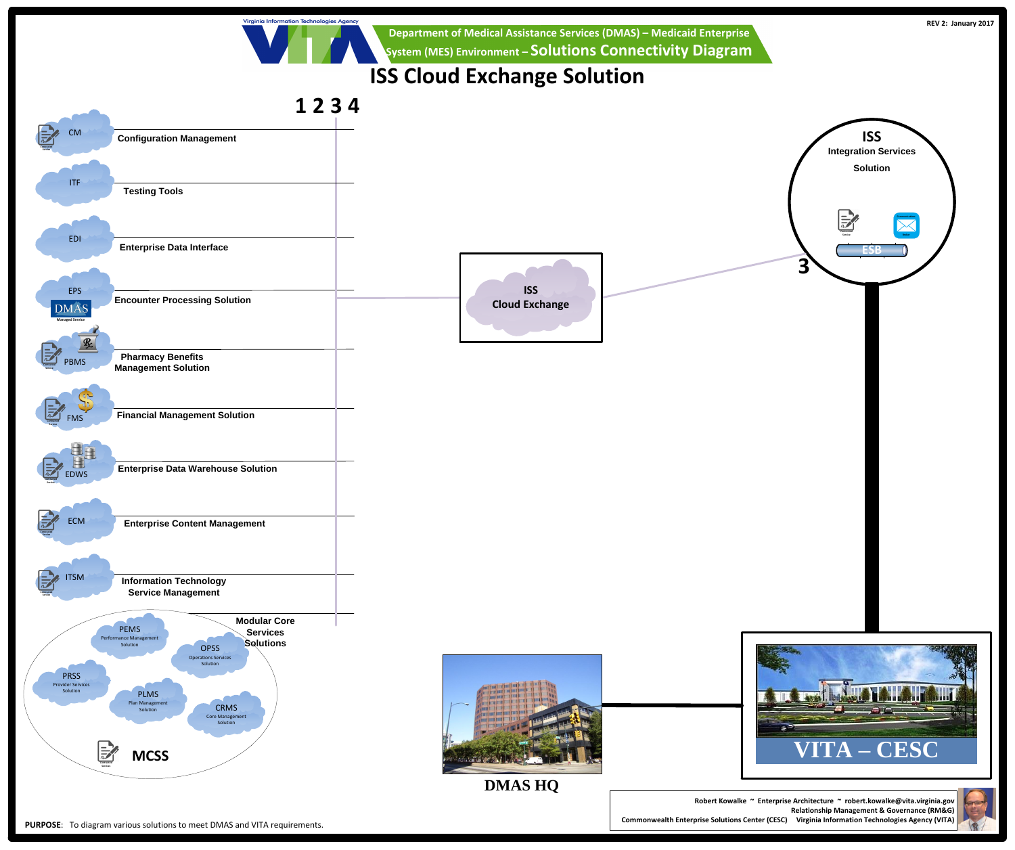

**Commonwealth Enterprise Solutions Center (CESC) Virginia Information Technologies Agency (VITA)**





**Department of Medical Assistance Services (DMAS) – Medicaid Enterprise System (MES) Environment – Solutions Connectivity Diagram**

### **1 2 3 4**

Virginia Information Technologies Agency

## **ISS Cloud Exchange Solution**